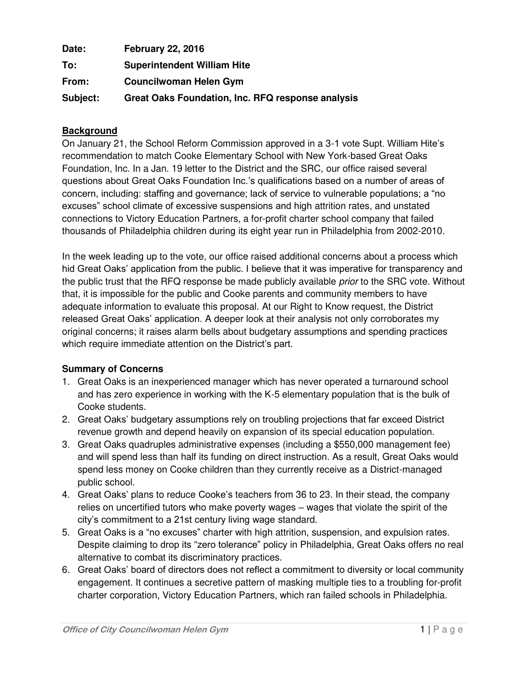| Date:    | <b>February 22, 2016</b>                          |
|----------|---------------------------------------------------|
| To:      | <b>Superintendent William Hite</b>                |
| From:    | <b>Councilwoman Helen Gym</b>                     |
| Subject: | Great Oaks Foundation, Inc. RFQ response analysis |

#### **Background**

On January 21, the School Reform Commission approved in a 3-1 vote Supt. William Hite's recommendation to match Cooke Elementary School with New York-based Great Oaks Foundation, Inc. In a Jan. 19 letter to the District and the SRC, our office raised several questions about Great Oaks Foundation Inc.'s qualifications based on a number of areas of concern, including: staffing and governance; lack of service to vulnerable populations; a "no excuses" school climate of excessive suspensions and high attrition rates, and unstated connections to Victory Education Partners, a for-profit charter school company that failed thousands of Philadelphia children during its eight year run in Philadelphia from 2002-2010.

In the week leading up to the vote, our office raised additional concerns about a process which hid Great Oaks' application from the public. I believe that it was imperative for transparency and the public trust that the RFQ response be made publicly available *prior* to the SRC vote. Without that, it is impossible for the public and Cooke parents and community members to have adequate information to evaluate this proposal. At our Right to Know request, the District released Great Oaks' application. A deeper look at their analysis not only corroborates my original concerns; it raises alarm bells about budgetary assumptions and spending practices which require immediate attention on the District's part.

#### **Summary of Concerns**

- 1. Great Oaks is an inexperienced manager which has never operated a turnaround school and has zero experience in working with the K-5 elementary population that is the bulk of Cooke students.
- 2. Great Oaks' budgetary assumptions rely on troubling projections that far exceed District revenue growth and depend heavily on expansion of its special education population.
- 3. Great Oaks quadruples administrative expenses (including a \$550,000 management fee) and will spend less than half its funding on direct instruction. As a result, Great Oaks would spend less money on Cooke children than they currently receive as a District-managed public school.
- 4. Great Oaks' plans to reduce Cooke's teachers from 36 to 23. In their stead, the company relies on uncertified tutors who make poverty wages – wages that violate the spirit of the city's commitment to a 21st century living wage standard.
- 5. Great Oaks is a "no excuses" charter with high attrition, suspension, and expulsion rates. Despite claiming to drop its "zero tolerance" policy in Philadelphia, Great Oaks offers no real alternative to combat its discriminatory practices.
- 6. Great Oaks' board of directors does not reflect a commitment to diversity or local community engagement. It continues a secretive pattern of masking multiple ties to a troubling for-profit charter corporation, Victory Education Partners, which ran failed schools in Philadelphia.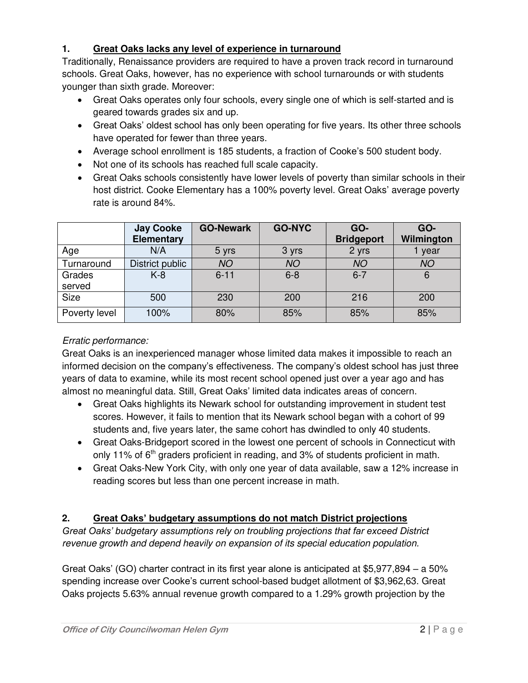### **1. Great Oaks lacks any level of experience in turnaround**

Traditionally, Renaissance providers are required to have a proven track record in turnaround schools. Great Oaks, however, has no experience with school turnarounds or with students younger than sixth grade. Moreover:

- Great Oaks operates only four schools, every single one of which is self-started and is geared towards grades six and up.
- Great Oaks' oldest school has only been operating for five years. Its other three schools have operated for fewer than three years.
- Average school enrollment is 185 students, a fraction of Cooke's 500 student body.
- Not one of its schools has reached full scale capacity.
- Great Oaks schools consistently have lower levels of poverty than similar schools in their host district. Cooke Elementary has a 100% poverty level. Great Oaks' average poverty rate is around 84%.

|                  | <b>Jay Cooke</b><br><b>Elementary</b> | <b>GO-Newark</b> | <b>GO-NYC</b> | GO-<br><b>Bridgeport</b> | GO-<br>Wilmington |
|------------------|---------------------------------------|------------------|---------------|--------------------------|-------------------|
| Age              | N/A                                   | 5 yrs            | 3 yrs         | 2 yrs                    | year              |
| Turnaround       | District public                       | <b>NO</b>        | <b>NO</b>     | <b>NO</b>                | <b>NO</b>         |
| Grades<br>served | $K-8$                                 | $6 - 11$         | $6 - 8$       | $6 - 7$                  | 6                 |
| <b>Size</b>      | 500                                   | 230              | 200           | 216                      | 200               |
| Poverty level    | 100%                                  | 80%              | 85%           | 85%                      | 85%               |

### *Erratic performance:*

Great Oaks is an inexperienced manager whose limited data makes it impossible to reach an informed decision on the company's effectiveness. The company's oldest school has just three years of data to examine, while its most recent school opened just over a year ago and has almost no meaningful data. Still, Great Oaks' limited data indicates areas of concern.

- Great Oaks highlights its Newark school for outstanding improvement in student test scores. However, it fails to mention that its Newark school began with a cohort of 99 students and, five years later, the same cohort has dwindled to only 40 students.
- Great Oaks-Bridgeport scored in the lowest one percent of schools in Connecticut with only 11% of  $6<sup>th</sup>$  graders proficient in reading, and 3% of students proficient in math.
- Great Oaks-New York City, with only one year of data available, saw a 12% increase in reading scores but less than one percent increase in math.

## **2. Great Oaks' budgetary assumptions do not match District projections**

*Great Oaks' budgetary assumptions rely on troubling projections that far exceed District revenue growth and depend heavily on expansion of its special education population.* 

Great Oaks' (GO) charter contract in its first year alone is anticipated at \$5,977,894 – a 50% spending increase over Cooke's current school-based budget allotment of \$3,962,63. Great Oaks projects 5.63% annual revenue growth compared to a 1.29% growth projection by the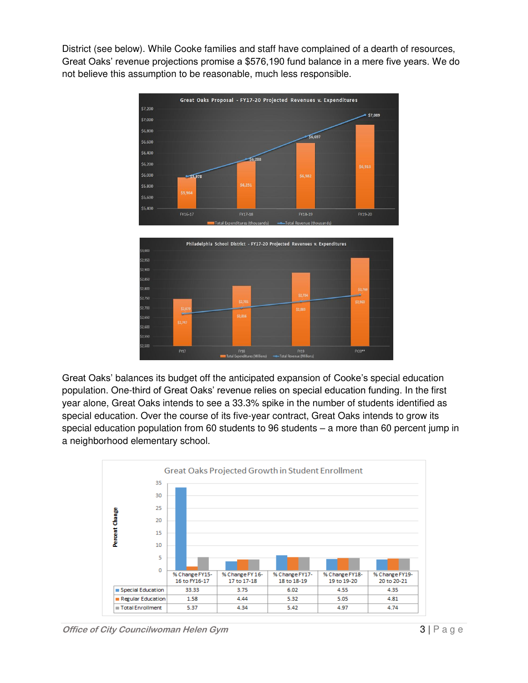District (see below). While Cooke families and staff have complained of a dearth of resources, Great Oaks' revenue projections promise a \$576,190 fund balance in a mere five years. We do not believe this assumption to be reasonable, much less responsible.





Great Oaks' balances its budget off the anticipated expansion of Cooke's special education population. One-third of Great Oaks' revenue relies on special education funding. In the first year alone, Great Oaks intends to see a 33.3% spike in the number of students identified as special education. Over the course of its five-year contract, Great Oaks intends to grow its special education population from 60 students to 96 students – a more than 60 percent jump in a neighborhood elementary school.

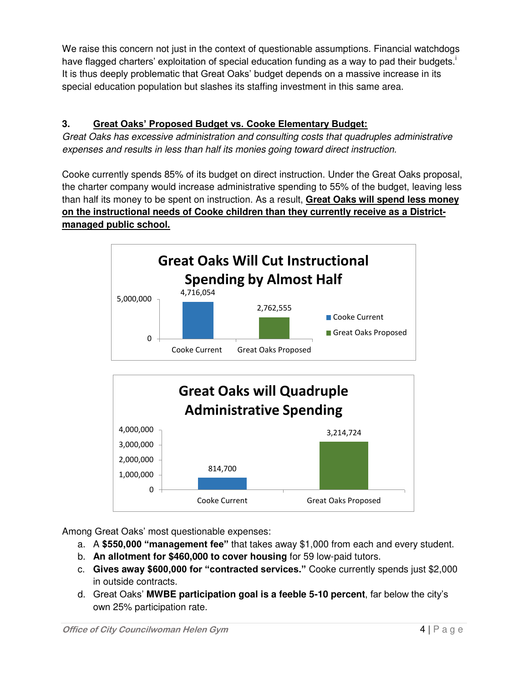We raise this concern not just in the context of questionable assumptions. Financial watchdogs have flagged charters' exploitation of special education funding as a way to pad their budgets.<sup>1</sup> It is thus deeply problematic that Great Oaks' budget depends on a massive increase in its special education population but slashes its staffing investment in this same area.

# **3. Great Oaks' Proposed Budget vs. Cooke Elementary Budget:**

*Great Oaks has excessive administration and consulting costs that quadruples administrative expenses and results in less than half its monies going toward direct instruction.* 

Cooke currently spends 85% of its budget on direct instruction. Under the Great Oaks proposal, the charter company would increase administrative spending to 55% of the budget, leaving less than half its money to be spent on instruction. As a result, **Great Oaks will spend less money on the instructional needs of Cooke children than they currently receive as a Districtmanaged public school.** 





Among Great Oaks' most questionable expenses:

- a. A **\$550,000 "management fee"** that takes away \$1,000 from each and every student.
- b. **An allotment for \$460,000 to cover housing** for 59 low-paid tutors.
- c. **Gives away \$600,000 for "contracted services."** Cooke currently spends just \$2,000 in outside contracts.
- d. Great Oaks' **MWBE participation goal is a feeble 5-10 percent**, far below the city's own 25% participation rate.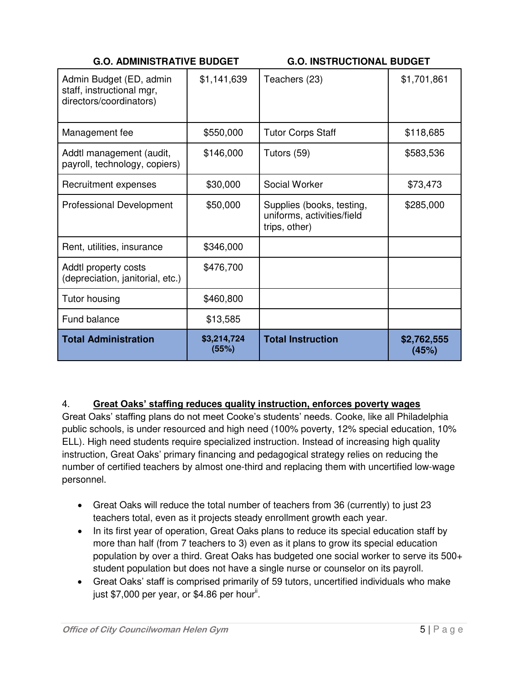| <b>G.O. ADMINISTRATIVE BUDGET</b> |
|-----------------------------------|
|                                   |

**G.O. INSTRUCTIONAL BUDGET** 

| Admin Budget (ED, admin<br>staff, instructional mgr,<br>directors/coordinators) | \$1,141,639          | Teachers (23)                                                            | \$1,701,861          |
|---------------------------------------------------------------------------------|----------------------|--------------------------------------------------------------------------|----------------------|
| Management fee                                                                  | \$550,000            | <b>Tutor Corps Staff</b>                                                 | \$118,685            |
| Addtl management (audit,<br>payroll, technology, copiers)                       | \$146,000            | Tutors (59)                                                              | \$583,536            |
| Recruitment expenses                                                            | \$30,000             | Social Worker                                                            | \$73,473             |
| <b>Professional Development</b>                                                 | \$50,000             | Supplies (books, testing,<br>uniforms, activities/field<br>trips, other) | \$285,000            |
| Rent, utilities, insurance                                                      | \$346,000            |                                                                          |                      |
| Addtl property costs<br>(depreciation, janitorial, etc.)                        | \$476,700            |                                                                          |                      |
| Tutor housing                                                                   | \$460,800            |                                                                          |                      |
| Fund balance                                                                    | \$13,585             |                                                                          |                      |
| <b>Total Administration</b>                                                     | \$3,214,724<br>(55%) | <b>Total Instruction</b>                                                 | \$2,762,555<br>(45%) |

### 4. **Great Oaks' staffing reduces quality instruction, enforces poverty wages**

Great Oaks' staffing plans do not meet Cooke's students' needs. Cooke, like all Philadelphia public schools, is under resourced and high need (100% poverty, 12% special education, 10% ELL). High need students require specialized instruction. Instead of increasing high quality instruction, Great Oaks' primary financing and pedagogical strategy relies on reducing the number of certified teachers by almost one-third and replacing them with uncertified low-wage personnel.

- Great Oaks will reduce the total number of teachers from 36 (currently) to just 23 teachers total, even as it projects steady enrollment growth each year.
- In its first year of operation, Great Oaks plans to reduce its special education staff by more than half (from 7 teachers to 3) even as it plans to grow its special education population by over a third. Great Oaks has budgeted one social worker to serve its 500+ student population but does not have a single nurse or counselor on its payroll.
- Great Oaks' staff is comprised primarily of 59 tutors, uncertified individuals who make just \$7,000 per year, or \$4.86 per hour<sup>ii</sup>.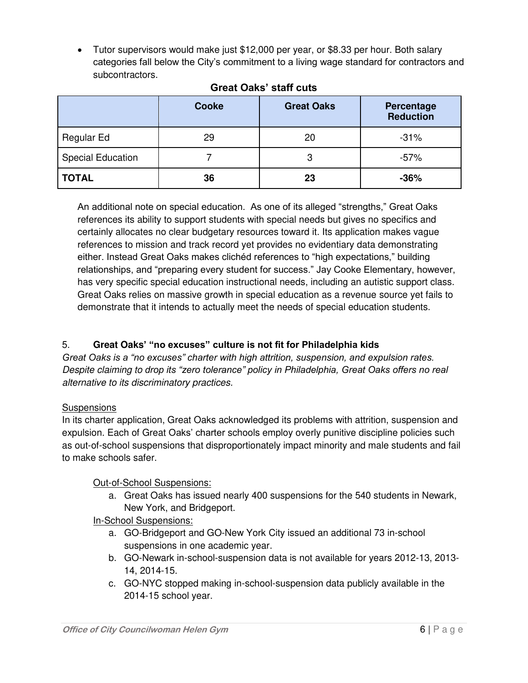Tutor supervisors would make just \$12,000 per year, or \$8.33 per hour. Both salary categories fall below the City's commitment to a living wage standard for contractors and subcontractors.

|                          | <b>Cooke</b> | <b>Great Oaks</b> | Percentage<br><b>Reduction</b> |
|--------------------------|--------------|-------------------|--------------------------------|
| Regular Ed               | 29           | 20                | $-31%$                         |
| <b>Special Education</b> |              | 3                 | -57%                           |
| <b>TOTAL</b>             | 36           | 23                | $-36%$                         |

# **Great Oaks' staff cuts**

An additional note on special education. As one of its alleged "strengths," Great Oaks references its ability to support students with special needs but gives no specifics and certainly allocates no clear budgetary resources toward it. Its application makes vague references to mission and track record yet provides no evidentiary data demonstrating either. Instead Great Oaks makes clichéd references to "high expectations," building relationships, and "preparing every student for success." Jay Cooke Elementary, however, has very specific special education instructional needs, including an autistic support class. Great Oaks relies on massive growth in special education as a revenue source yet fails to demonstrate that it intends to actually meet the needs of special education students.

## 5. **Great Oaks' "no excuses" culture is not fit for Philadelphia kids**

*Great Oaks is a "no excuses" charter with high attrition, suspension, and expulsion rates. Despite claiming to drop its "zero tolerance" policy in Philadelphia, Great Oaks offers no real alternative to its discriminatory practices.* 

### **Suspensions**

In its charter application, Great Oaks acknowledged its problems with attrition, suspension and expulsion. Each of Great Oaks' charter schools employ overly punitive discipline policies such as out-of-school suspensions that disproportionately impact minority and male students and fail to make schools safer.

## Out-of-School Suspensions:

a. Great Oaks has issued nearly 400 suspensions for the 540 students in Newark, New York, and Bridgeport.

## In-School Suspensions:

- a. GO-Bridgeport and GO-New York City issued an additional 73 in-school suspensions in one academic year.
- b. GO-Newark in-school-suspension data is not available for years 2012-13, 2013- 14, 2014-15.
- c. GO-NYC stopped making in-school-suspension data publicly available in the 2014-15 school year.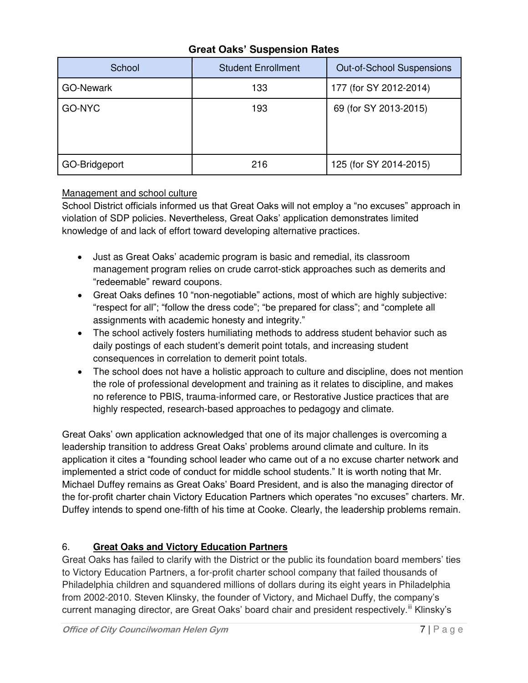## **Great Oaks' Suspension Rates**

| School           | <b>Student Enrollment</b> | <b>Out-of-School Suspensions</b> |
|------------------|---------------------------|----------------------------------|
| <b>GO-Newark</b> | 133                       | 177 (for SY 2012-2014)           |
| GO-NYC           | 193                       | 69 (for SY 2013-2015)            |
| GO-Bridgeport    | 216                       | 125 (for SY 2014-2015)           |

### Management and school culture

School District officials informed us that Great Oaks will not employ a "no excuses" approach in violation of SDP policies. Nevertheless, Great Oaks' application demonstrates limited knowledge of and lack of effort toward developing alternative practices.

- Just as Great Oaks' academic program is basic and remedial, its classroom management program relies on crude carrot-stick approaches such as demerits and "redeemable" reward coupons.
- Great Oaks defines 10 "non-negotiable" actions, most of which are highly subjective: "respect for all"; "follow the dress code"; "be prepared for class"; and "complete all assignments with academic honesty and integrity."
- The school actively fosters humiliating methods to address student behavior such as daily postings of each student's demerit point totals, and increasing student consequences in correlation to demerit point totals.
- The school does not have a holistic approach to culture and discipline, does not mention the role of professional development and training as it relates to discipline, and makes no reference to PBIS, trauma-informed care, or Restorative Justice practices that are highly respected, research-based approaches to pedagogy and climate.

Great Oaks' own application acknowledged that one of its major challenges is overcoming a leadership transition to address Great Oaks' problems around climate and culture. In its application it cites a "founding school leader who came out of a no excuse charter network and implemented a strict code of conduct for middle school students." It is worth noting that Mr. Michael Duffey remains as Great Oaks' Board President, and is also the managing director of the for-profit charter chain Victory Education Partners which operates "no excuses" charters. Mr. Duffey intends to spend one-fifth of his time at Cooke. Clearly, the leadership problems remain.

### 6. **Great Oaks and Victory Education Partners**

Great Oaks has failed to clarify with the District or the public its foundation board members' ties to Victory Education Partners, a for-profit charter school company that failed thousands of Philadelphia children and squandered millions of dollars during its eight years in Philadelphia from 2002-2010. Steven Klinsky, the founder of Victory, and Michael Duffy, the company's current managing director, are Great Oaks' board chair and president respectively.<sup>iii</sup> Klinsky's